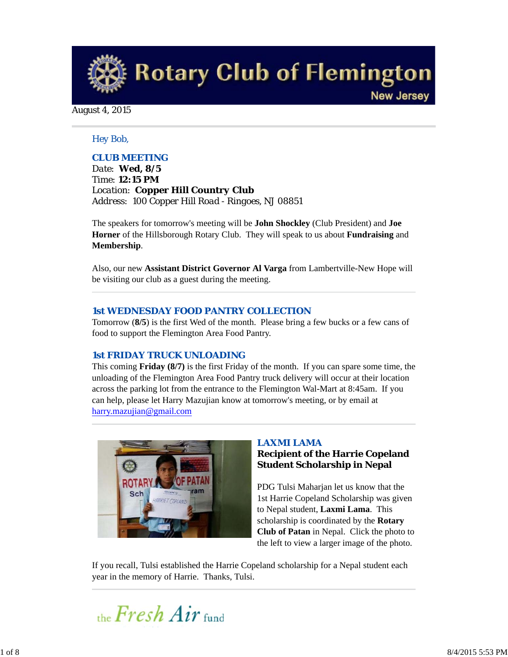**Rotary Club of Flemington New Jersey** 

August 4, 2015

# *Hey Bob,*

# *CLUB MEETING*

*Date: Wed, 8/5 Time: 12:15 PM Location: Copper Hill Country Club Address: 100 Copper Hill Road - Ringoes, NJ 08851*

The speakers for tomorrow's meeting will be **John Shockley** (Club President) and **Joe Horner** of the Hillsborough Rotary Club. They will speak to us about **Fundraising** and **Membership**.

Also, our new **Assistant District Governor Al Varga** from Lambertville-New Hope will be visiting our club as a guest during the meeting.

### *1st WEDNESDAY FOOD PANTRY COLLECTION*

Tomorrow (**8/5**) is the first Wed of the month. Please bring a few bucks or a few cans of food to support the Flemington Area Food Pantry.

## *1st FRIDAY TRUCK UNLOADING*

This coming **Friday (8/7)** is the first Friday of the month. If you can spare some time, the unloading of the Flemington Area Food Pantry truck delivery will occur at their location across the parking lot from the entrance to the Flemington Wal-Mart at 8:45am. If you can help, please let Harry Mazujian know at tomorrow's meeting, or by email at harry.mazujian@gmail.com



## *LAXMI LAMA*

# **Recipient of the Harrie Copeland Student Scholarship in Nepal**

PDG Tulsi Maharjan let us know that the 1st Harrie Copeland Scholarship was given to Nepal student, **Laxmi Lama**. This scholarship is coordinated by the **Rotary Club of Patan** in Nepal. Click the photo to the left to view a larger image of the photo.

If you recall, Tulsi established the Harrie Copeland scholarship for a Nepal student each year in the memory of Harrie. Thanks, Tulsi.

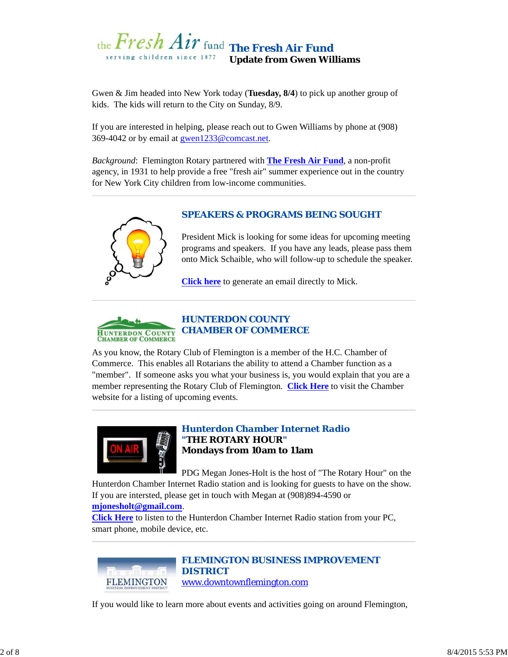

Gwen & Jim headed into New York today (**Tuesday, 8/4**) to pick up another group of kids. The kids will return to the City on Sunday, 8/9.

If you are interested in helping, please reach out to Gwen Williams by phone at (908) 369-4042 or by email at gwen1233@comcast.net.

*Background*: Flemington Rotary partnered with **The Fresh Air Fund**, a non-profit agency, in 1931 to help provide a free "fresh air" summer experience out in the country for New York City children from low-income communities.



# *SPEAKERS & PROGRAMS BEING SOUGHT*

President Mick is looking for some ideas for upcoming meeting programs and speakers. If you have any leads, please pass them onto Mick Schaible, who will follow-up to schedule the speaker.

**Click here** to generate an email directly to Mick.



As you know, the Rotary Club of Flemington is a member of the H.C. Chamber of Commerce. This enables all Rotarians the ability to attend a Chamber function as a "member". If someone asks you what your business is, you would explain that you are a member representing the Rotary Club of Flemington. **Click Here** to visit the Chamber website for a listing of upcoming events.



## *Hunterdon Chamber Internet Radio "THE ROTARY HOUR"* **Mondays from 10am to 11am**

PDG Megan Jones-Holt is the host of "The Rotary Hour" on the

Hunterdon Chamber Internet Radio station and is looking for guests to have on the show. If you are intersted, please get in touch with Megan at (908)894-4590 or

**mjonesholt@gmail.com**.

**Click Here** to listen to the Hunterdon Chamber Internet Radio station from your PC, smart phone, mobile device, etc.



*FLEMINGTON BUSINESS IMPROVEMENT DISTRICT* www.downtownflemington.com

If you would like to learn more about events and activities going on around Flemington,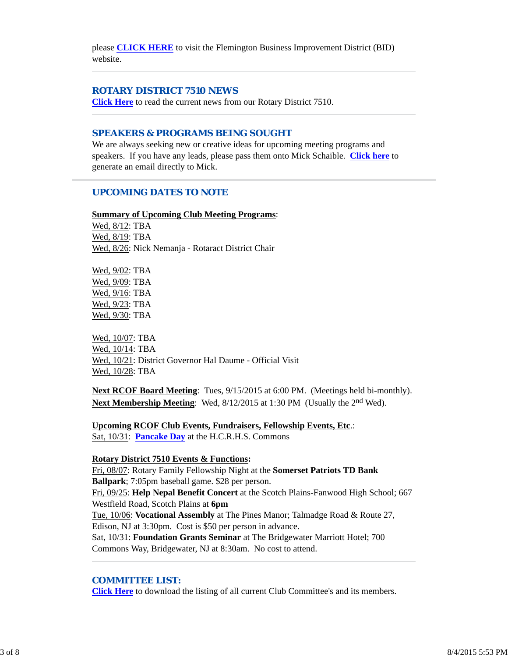please **CLICK HERE** to visit the Flemington Business Improvement District (BID) website.

### *ROTARY DISTRICT 7510 NEWS*

**Click Here** to read the current news from our Rotary District 7510.

#### *SPEAKERS & PROGRAMS BEING SOUGHT*

We are always seeking new or creative ideas for upcoming meeting programs and speakers. If you have any leads, please pass them onto Mick Schaible. **Click here** to generate an email directly to Mick.

# *UPCOMING DATES TO NOTE*

### **Summary of Upcoming Club Meeting Programs**:

Wed, 8/12: TBA Wed, 8/19: TBA Wed, 8/26: Nick Nemanja - Rotaract District Chair

Wed, 9/02: TBA Wed, 9/09: TBA Wed, 9/16: TBA Wed, 9/23: TBA Wed, 9/30: TBA

Wed, 10/07: TBA Wed, 10/14: TBA Wed, 10/21: District Governor Hal Daume - Official Visit Wed, 10/28: TBA

**Next RCOF Board Meeting**: Tues, 9/15/2015 at 6:00 PM. (Meetings held bi-monthly). **Next Membership Meeting**: Wed, 8/12/2015 at 1:30 PM (Usually the 2<sup>nd</sup> Wed).

**Upcoming RCOF Club Events, Fundraisers, Fellowship Events, Etc**.: Sat, 10/31: **Pancake Day** at the H.C.R.H.S. Commons

#### **Rotary District 7510 Events & Functions:**

Fri, 08/07: Rotary Family Fellowship Night at the **Somerset Patriots TD Bank Ballpark**; 7:05pm baseball game. \$28 per person. Fri, 09/25: **Help Nepal Benefit Concert** at the Scotch Plains-Fanwood High School; 667 Westfield Road, Scotch Plains at **6pm** Tue, 10/06: **Vocational Assembly** at The Pines Manor; Talmadge Road & Route 27, Edison, NJ at 3:30pm. Cost is \$50 per person in advance. Sat, 10/31: **Foundation Grants Seminar** at The Bridgewater Marriott Hotel; 700 Commons Way, Bridgewater, NJ at 8:30am. No cost to attend.

## *COMMITTEE LIST:*

**Click Here** to download the listing of all current Club Committee's and its members.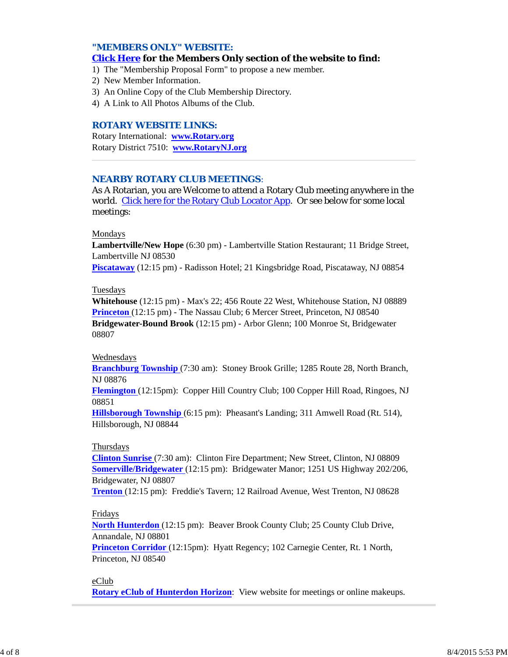## *"MEMBERS ONLY" WEBSITE:*

## **Click Here for the Members Only section of the website to find:**

- 1) The "Membership Proposal Form" to propose a new member.
- 2) New Member Information.
- 3) An Online Copy of the Club Membership Directory.
- 4) A Link to All Photos Albums of the Club.

#### *ROTARY WEBSITE LINKS:*

Rotary International: **www.Rotary.org** Rotary District 7510: **www.RotaryNJ.org**

#### *NEARBY ROTARY CLUB MEETINGS:*

As A Rotarian, you are Welcome to attend a Rotary Club meeting anywhere in the world. Click here for the Rotary Club Locator App. Or see below for some local meetings:

#### Mondays

**Lambertville/New Hope** (6:30 pm) - Lambertville Station Restaurant; 11 Bridge Street, Lambertville NJ 08530

**Piscataway** (12:15 pm) - Radisson Hotel; 21 Kingsbridge Road, Piscataway, NJ 08854

#### Tuesdays

**Whitehouse** (12:15 pm) - Max's 22; 456 Route 22 West, Whitehouse Station, NJ 08889 **Princeton** (12:15 pm) - The Nassau Club; 6 Mercer Street, Princeton, NJ 08540 **Bridgewater-Bound Brook** (12:15 pm) - Arbor Glenn; 100 Monroe St, Bridgewater 08807

### Wednesdays

**Branchburg Township** (7:30 am): Stoney Brook Grille; 1285 Route 28, North Branch, NJ 08876

**Flemington** (12:15pm): Copper Hill Country Club; 100 Copper Hill Road, Ringoes, NJ 08851

**Hillsborough Township** (6:15 pm): Pheasant's Landing; 311 Amwell Road (Rt. 514), Hillsborough, NJ 08844

### Thursdays

**Clinton Sunrise** (7:30 am): Clinton Fire Department; New Street, Clinton, NJ 08809 **Somerville/Bridgewater** (12:15 pm): Bridgewater Manor; 1251 US Highway 202/206, Bridgewater, NJ 08807

**Trenton** (12:15 pm): Freddie's Tavern; 12 Railroad Avenue, West Trenton, NJ 08628

#### Fridays

**North Hunterdon** (12:15 pm): Beaver Brook County Club; 25 County Club Drive, Annandale, NJ 08801

**Princeton Corridor** (12:15pm): Hyatt Regency; 102 Carnegie Center, Rt. 1 North, Princeton, NJ 08540

## eClub

**Rotary eClub of Hunterdon Horizon**: View website for meetings or online makeups.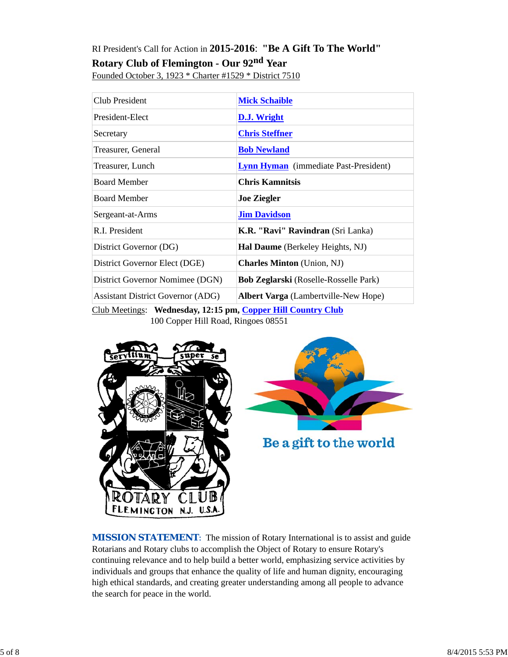# RI President's Call for Action in **2015-2016**: **"Be A Gift To The World"**

**Rotary Club of Flemington - Our 92nd Year**

Founded October 3, 1923 \* Charter #1529 \* District 7510

| Club President                           | <b>Mick Schaible</b>                         |
|------------------------------------------|----------------------------------------------|
| President-Elect                          | D.J. Wright                                  |
| Secretary                                | <b>Chris Steffner</b>                        |
| Treasurer, General                       | <b>Bob Newland</b>                           |
| Treasurer, Lunch                         | <b>Lynn Hyman</b> (immediate Past-President) |
| <b>Board Member</b>                      | <b>Chris Kamnitsis</b>                       |
| <b>Board Member</b>                      | <b>Joe Ziegler</b>                           |
| Sergeant-at-Arms                         | <b>Jim Davidson</b>                          |
| R.I. President                           | K.R. "Ravi" Ravindran (Sri Lanka)            |
| District Governor (DG)                   | <b>Hal Daume</b> (Berkeley Heights, NJ)      |
| District Governor Elect (DGE)            | <b>Charles Minton</b> (Union, NJ)            |
| District Governor Nomimee (DGN)          | <b>Bob Zeglarski</b> (Roselle-Rosselle Park) |
| <b>Assistant District Governor (ADG)</b> | <b>Albert Varga</b> (Lambertville-New Hope)  |

Club Meetings: **Wednesday, 12:15 pm, Copper Hill Country Club** 100 Copper Hill Road, Ringoes 08551





Be a gift to the world

*MISSION STATEMENT*: The mission of Rotary International is to assist and guide Rotarians and Rotary clubs to accomplish the Object of Rotary to ensure Rotary's continuing relevance and to help build a better world, emphasizing service activities by individuals and groups that enhance the quality of life and human dignity, encouraging high ethical standards, and creating greater understanding among all people to advance the search for peace in the world.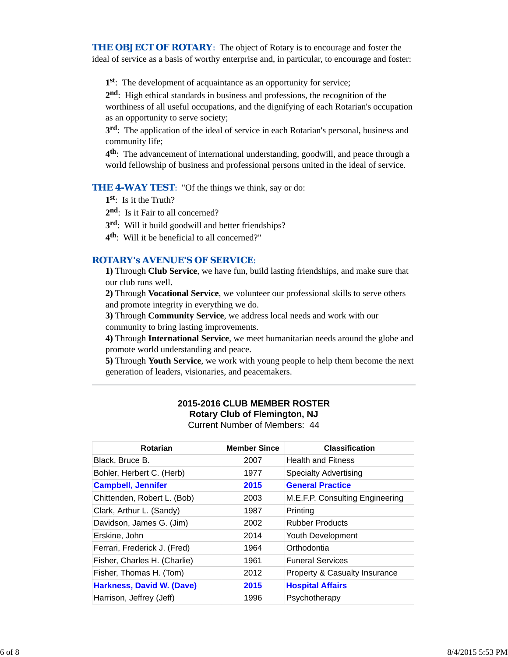**THE OBJECT OF ROTARY:** The object of Rotary is to encourage and foster the ideal of service as a basis of worthy enterprise and, in particular, to encourage and foster:

**1st**: The development of acquaintance as an opportunity for service;

**2nd**: High ethical standards in business and professions, the recognition of the

worthiness of all useful occupations, and the dignifying of each Rotarian's occupation as an opportunity to serve society;

**3rd**: The application of the ideal of service in each Rotarian's personal, business and community life;

**4th**: The advancement of international understanding, goodwill, and peace through a world fellowship of business and professional persons united in the ideal of service.

**THE 4-WAY TEST:** "Of the things we think, say or do:

- **1st**: Is it the Truth?
- 2<sup>nd</sup>: Is it Fair to all concerned?
- **3rd**: Will it build goodwill and better friendships?
- **4th**: Will it be beneficial to all concerned?"

# *ROTARY's AVENUE'S OF SERVICE*:

**1)** Through **Club Service**, we have fun, build lasting friendships, and make sure that our club runs well.

**2)** Through **Vocational Service**, we volunteer our professional skills to serve others and promote integrity in everything we do.

**3)** Through **Community Service**, we address local needs and work with our community to bring lasting improvements.

**4)** Through **International Service**, we meet humanitarian needs around the globe and promote world understanding and peace.

**5)** Through **Youth Service**, we work with young people to help them become the next generation of leaders, visionaries, and peacemakers.

## **2015-2016 CLUB MEMBER ROSTER Rotary Club of Flemington, NJ** Current Number of Members: 44

| Rotarian                     | <b>Member Since</b> | <b>Classification</b>           |  |  |
|------------------------------|---------------------|---------------------------------|--|--|
| Black, Bruce B.              | 2007                | <b>Health and Fitness</b>       |  |  |
| Bohler, Herbert C. (Herb)    | 1977                | <b>Specialty Advertising</b>    |  |  |
| <b>Campbell, Jennifer</b>    | 2015                | <b>General Practice</b>         |  |  |
| Chittenden, Robert L. (Bob)  | 2003                | M.E.F.P. Consulting Engineering |  |  |
| Clark, Arthur L. (Sandy)     | 1987                | Printing                        |  |  |
| Davidson, James G. (Jim)     | 2002                | <b>Rubber Products</b>          |  |  |
| Erskine, John                | 2014                | Youth Development               |  |  |
| Ferrari, Frederick J. (Fred) | 1964                | Orthodontia                     |  |  |
| Fisher, Charles H. (Charlie) | 1961                | <b>Funeral Services</b>         |  |  |
| Fisher, Thomas H. (Tom)      | 2012                | Property & Casualty Insurance   |  |  |
| Harkness, David W. (Dave)    | 2015                | <b>Hospital Affairs</b>         |  |  |
| Harrison, Jeffrey (Jeff)     | 1996                | Psychotherapy                   |  |  |
|                              |                     |                                 |  |  |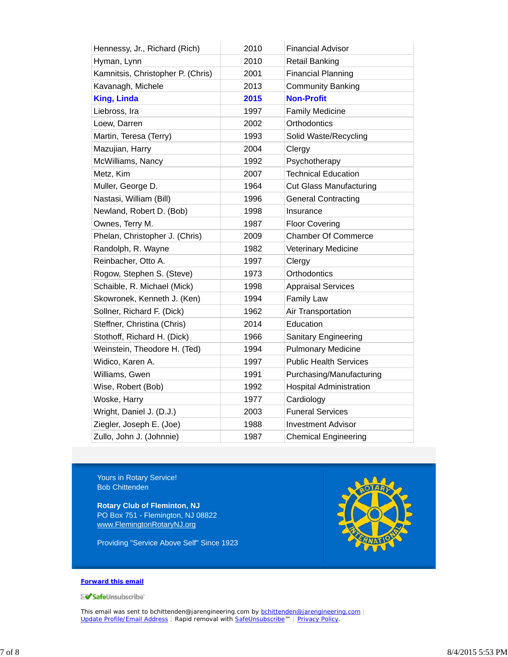| Hennessy, Jr., Richard (Rich)     | 2010 | <b>Financial Advisor</b>       |
|-----------------------------------|------|--------------------------------|
| Hyman, Lynn                       | 2010 | <b>Retail Banking</b>          |
| Kamnitsis, Christopher P. (Chris) | 2001 | <b>Financial Planning</b>      |
| Kavanagh, Michele                 | 2013 | <b>Community Banking</b>       |
| <b>King, Linda</b>                | 2015 | <b>Non-Profit</b>              |
| Liebross, Ira                     | 1997 | <b>Family Medicine</b>         |
| Loew, Darren                      | 2002 | Orthodontics                   |
| Martin, Teresa (Terry)            | 1993 | Solid Waste/Recycling          |
| Mazujian, Harry                   | 2004 | Clergy                         |
| McWilliams, Nancy                 | 1992 | Psychotherapy                  |
| Metz, Kim                         | 2007 | <b>Technical Education</b>     |
| Muller, George D.                 | 1964 | <b>Cut Glass Manufacturing</b> |
| Nastasi, William (Bill)           | 1996 | <b>General Contracting</b>     |
| Newland, Robert D. (Bob)          | 1998 | Insurance                      |
| Ownes, Terry M.                   | 1987 | <b>Floor Covering</b>          |
| Phelan, Christopher J. (Chris)    | 2009 | <b>Chamber Of Commerce</b>     |
| Randolph, R. Wayne                | 1982 | <b>Veterinary Medicine</b>     |
| Reinbacher, Otto A.               | 1997 | Clergy                         |
| Rogow, Stephen S. (Steve)         | 1973 | Orthodontics                   |
| Schaible, R. Michael (Mick)       | 1998 | <b>Appraisal Services</b>      |
| Skowronek, Kenneth J. (Ken)       | 1994 | <b>Family Law</b>              |
| Sollner, Richard F. (Dick)        | 1962 | Air Transportation             |
| Steffner, Christina (Chris)       | 2014 | Education                      |
| Stothoff, Richard H. (Dick)       | 1966 | <b>Sanitary Engineering</b>    |
| Weinstein, Theodore H. (Ted)      | 1994 | <b>Pulmonary Medicine</b>      |
| Widico, Karen A.                  | 1997 | <b>Public Health Services</b>  |
| Williams, Gwen                    | 1991 | Purchasing/Manufacturing       |
| Wise, Robert (Bob)                | 1992 | <b>Hospital Administration</b> |
| Woske, Harry                      | 1977 | Cardiology                     |
| Wright, Daniel J. (D.J.)          | 2003 | <b>Funeral Services</b>        |
| Ziegler, Joseph E. (Joe)          | 1988 | <b>Investment Advisor</b>      |
| Zullo, John J. (Johnnie)          | 1987 | <b>Chemical Engineering</b>    |

Yours in Rotary Service! Bob Chittenden

**Rotary Club of Fleminton, NJ** PO Box 751 - Flemington, NJ 08822 www.FlemingtonRotaryNJ.org

Providing "Service Above Self" Since 1923



#### **Forward this email**

SafeUnsubscribe

This email was sent to bchittenden@jarengineering.com by **bchittenden@jarengineering.com** | Update Profile/Email Address | Rapid removal with SafeUnsubscribe™ | Privacy Policy.